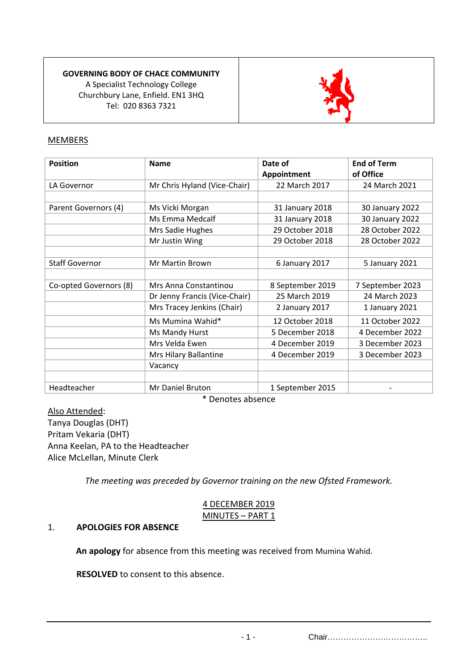# **GOVERNING BODY OF CHACE COMMUNITY**

A Specialist Technology College Churchbury Lane, Enfield. EN1 3HQ Tel: 020 8363 7321



# MEMBERS

| <b>Position</b>        | <b>Name</b>                   | Date of<br>Appointment | <b>End of Term</b><br>of Office |
|------------------------|-------------------------------|------------------------|---------------------------------|
| LA Governor            | Mr Chris Hyland (Vice-Chair)  | 22 March 2017          | 24 March 2021                   |
|                        |                               |                        |                                 |
| Parent Governors (4)   | Ms Vicki Morgan               | 31 January 2018        | 30 January 2022                 |
|                        | Ms Emma Medcalf               | 31 January 2018        | 30 January 2022                 |
|                        | Mrs Sadie Hughes              | 29 October 2018        | 28 October 2022                 |
|                        | Mr Justin Wing                | 29 October 2018        | 28 October 2022                 |
|                        |                               |                        |                                 |
| <b>Staff Governor</b>  | <b>Mr Martin Brown</b>        | 6 January 2017         | 5 January 2021                  |
|                        |                               |                        |                                 |
| Co-opted Governors (8) | Mrs Anna Constantinou         | 8 September 2019       | 7 September 2023                |
|                        | Dr Jenny Francis (Vice-Chair) | 25 March 2019          | 24 March 2023                   |
|                        | Mrs Tracey Jenkins (Chair)    | 2 January 2017         | 1 January 2021                  |
|                        | Ms Mumina Wahid*              | 12 October 2018        | 11 October 2022                 |
|                        | Ms Mandy Hurst                | 5 December 2018        | 4 December 2022                 |
|                        | Mrs Velda Ewen                | 4 December 2019        | 3 December 2023                 |
|                        | Mrs Hilary Ballantine         | 4 December 2019        | 3 December 2023                 |
|                        | Vacancy                       |                        |                                 |
|                        |                               |                        |                                 |
| Headteacher            | Mr Daniel Bruton              | 1 September 2015       |                                 |

\* Denotes absence

### Also Attended:

Tanya Douglas (DHT) Pritam Vekaria (DHT) Anna Keelan, PA to the Headteacher Alice McLellan, Minute Clerk

*The meeting was preceded by Governor training on the new Ofsted Framework.*

| 4 DECEMBER 2019  |  |
|------------------|--|
| MINUTES - PART 1 |  |

### 1. **APOLOGIES FOR ABSENCE**

**An apology** for absence from this meeting was received from Mumina Wahid.

**RESOLVED** to consent to this absence.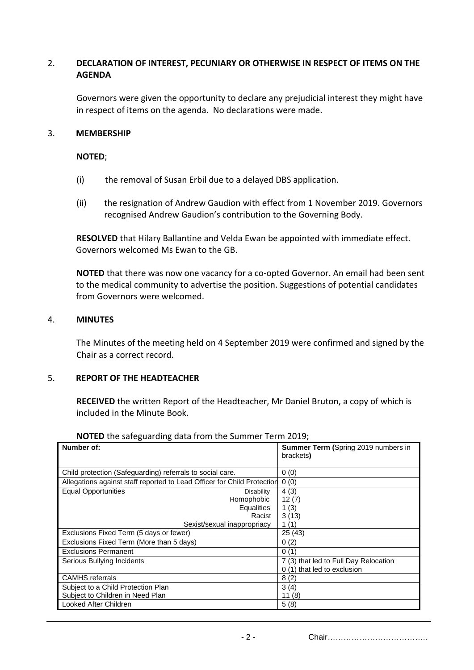# 2. **DECLARATION OF INTEREST, PECUNIARY OR OTHERWISE IN RESPECT OF ITEMS ON THE AGENDA**

Governors were given the opportunity to declare any prejudicial interest they might have in respect of items on the agenda. No declarations were made.

#### 3. **MEMBERSHIP**

#### **NOTED**;

- (i) the removal of Susan Erbil due to a delayed DBS application.
- (ii) the resignation of Andrew Gaudion with effect from 1 November 2019. Governors recognised Andrew Gaudion's contribution to the Governing Body.

**RESOLVED** that Hilary Ballantine and Velda Ewan be appointed with immediate effect. Governors welcomed Ms Ewan to the GB.

**NOTED** that there was now one vacancy for a co-opted Governor. An email had been sent to the medical community to advertise the position. Suggestions of potential candidates from Governors were welcomed.

#### 4. **MINUTES**

The Minutes of the meeting held on 4 September 2019 were confirmed and signed by the Chair as a correct record.

#### 5. **REPORT OF THE HEADTEACHER**

**RECEIVED** the written Report of the Headteacher, Mr Daniel Bruton, a copy of which is included in the Minute Book.

| Number of:                                                              | <b>Summer Term (Spring 2019 numbers in</b><br>brackets) |
|-------------------------------------------------------------------------|---------------------------------------------------------|
|                                                                         |                                                         |
| Child protection (Safeguarding) referrals to social care.               | 0(0)                                                    |
| Allegations against staff reported to Lead Officer for Child Protection | 0(0)                                                    |
| <b>Equal Opportunities</b><br><b>Disability</b>                         | 4(3)                                                    |
| Homophobic                                                              | 12(7)                                                   |
| <b>Equalities</b>                                                       | 1 $(3)$                                                 |
| Racist                                                                  | 3(13)                                                   |
| Sexist/sexual inappropriacy                                             | 1(1)                                                    |
| Exclusions Fixed Term (5 days or fewer)                                 | 25(43)                                                  |
| Exclusions Fixed Term (More than 5 days)                                | 0(2)                                                    |
| <b>Exclusions Permanent</b>                                             | 0(1)                                                    |
| Serious Bullying Incidents                                              | 7 (3) that led to Full Day Relocation                   |
|                                                                         | 0 (1) that led to exclusion                             |
| <b>CAMHS</b> referrals                                                  | 8(2)                                                    |
| Subject to a Child Protection Plan                                      | 3(4)                                                    |
| Subject to Children in Need Plan                                        | 11 (8)                                                  |
| Looked After Children                                                   | 5(8)                                                    |

#### **NOTED** the safeguarding data from the Summer Term 2019;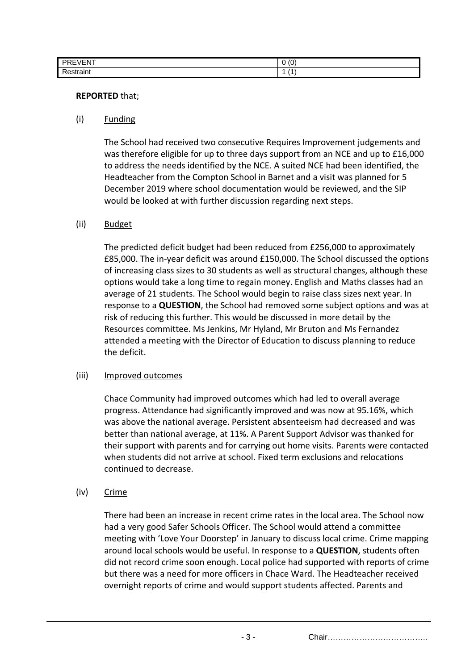| $\cdots$<br><b>PREV</b><br>'EVEN. | $\sqrt{2}$<br>$\sqrt{2}$<br>u<br>$\overline{\phantom{a}}$ |
|-----------------------------------|-----------------------------------------------------------|
| Ð<br>∵train.                      | -                                                         |

#### **REPORTED** that;

#### (i) Funding

The School had received two consecutive Requires Improvement judgements and was therefore eligible for up to three days support from an NCE and up to £16,000 to address the needs identified by the NCE. A suited NCE had been identified, the Headteacher from the Compton School in Barnet and a visit was planned for 5 December 2019 where school documentation would be reviewed, and the SIP would be looked at with further discussion regarding next steps.

### (ii) Budget

The predicted deficit budget had been reduced from £256,000 to approximately £85,000. The in-year deficit was around £150,000. The School discussed the options of increasing class sizes to 30 students as well as structural changes, although these options would take a long time to regain money. English and Maths classes had an average of 21 students. The School would begin to raise class sizes next year. In response to a **QUESTION**, the School had removed some subject options and was at risk of reducing this further. This would be discussed in more detail by the Resources committee. Ms Jenkins, Mr Hyland, Mr Bruton and Ms Fernandez attended a meeting with the Director of Education to discuss planning to reduce the deficit.

#### (iii) Improved outcomes

Chace Community had improved outcomes which had led to overall average progress. Attendance had significantly improved and was now at 95.16%, which was above the national average. Persistent absenteeism had decreased and was better than national average, at 11%. A Parent Support Advisor was thanked for their support with parents and for carrying out home visits. Parents were contacted when students did not arrive at school. Fixed term exclusions and relocations continued to decrease.

### (iv) Crime

There had been an increase in recent crime rates in the local area. The School now had a very good Safer Schools Officer. The School would attend a committee meeting with 'Love Your Doorstep' in January to discuss local crime. Crime mapping around local schools would be useful. In response to a **QUESTION**, students often did not record crime soon enough. Local police had supported with reports of crime but there was a need for more officers in Chace Ward. The Headteacher received overnight reports of crime and would support students affected. Parents and

- 3 - Chair………………………………..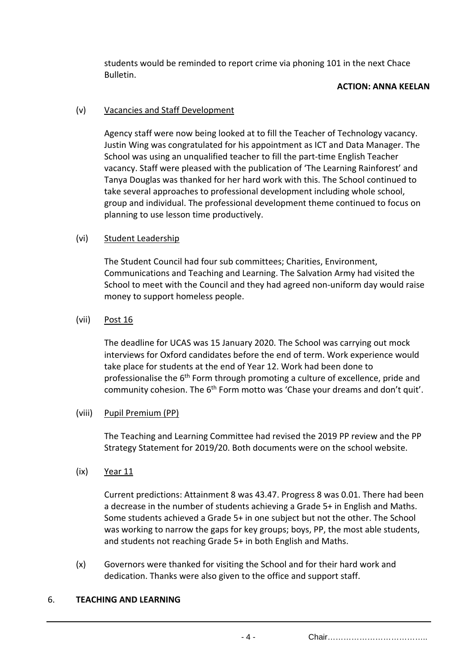students would be reminded to report crime via phoning 101 in the next Chace Bulletin.

#### **ACTION: ANNA KEELAN**

# (v) Vacancies and Staff Development

Agency staff were now being looked at to fill the Teacher of Technology vacancy. Justin Wing was congratulated for his appointment as ICT and Data Manager. The School was using an unqualified teacher to fill the part-time English Teacher vacancy. Staff were pleased with the publication of 'The Learning Rainforest' and Tanya Douglas was thanked for her hard work with this. The School continued to take several approaches to professional development including whole school, group and individual. The professional development theme continued to focus on planning to use lesson time productively.

### (vi) Student Leadership

The Student Council had four sub committees; Charities, Environment, Communications and Teaching and Learning. The Salvation Army had visited the School to meet with the Council and they had agreed non-uniform day would raise money to support homeless people.

### (vii) Post 16

The deadline for UCAS was 15 January 2020. The School was carrying out mock interviews for Oxford candidates before the end of term. Work experience would take place for students at the end of Year 12. Work had been done to professionalise the 6<sup>th</sup> Form through promoting a culture of excellence, pride and community cohesion. The 6<sup>th</sup> Form motto was 'Chase your dreams and don't quit'.

### (viii) Pupil Premium (PP)

The Teaching and Learning Committee had revised the 2019 PP review and the PP Strategy Statement for 2019/20. Both documents were on the school website.

(ix) Year 11

Current predictions: Attainment 8 was 43.47. Progress 8 was 0.01. There had been a decrease in the number of students achieving a Grade 5+ in English and Maths. Some students achieved a Grade 5+ in one subject but not the other. The School was working to narrow the gaps for key groups; boys, PP, the most able students, and students not reaching Grade 5+ in both English and Maths.

(x) Governors were thanked for visiting the School and for their hard work and dedication. Thanks were also given to the office and support staff.

### 6. **TEACHING AND LEARNING**

- 4 - Chair………………………………..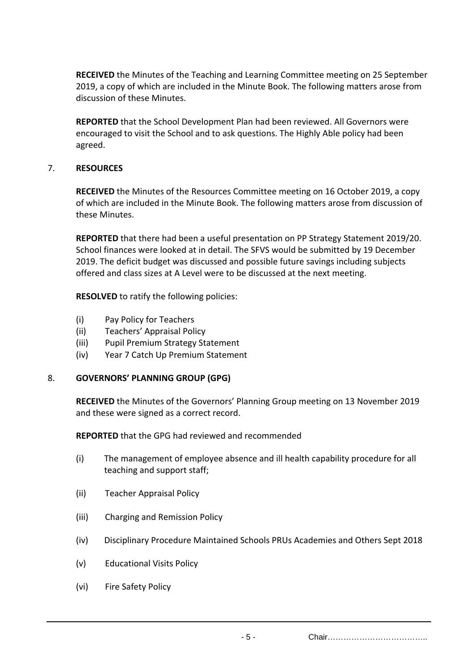**RECEIVED** the Minutes of the Teaching and Learning Committee meeting on 25 September 2019, a copy of which are included in the Minute Book. The following matters arose from discussion of these Minutes.

**REPORTED** that the School Development Plan had been reviewed. All Governors were encouraged to visit the School and to ask questions. The Highly Able policy had been agreed.

# 7. **RESOURCES**

**RECEIVED** the Minutes of the Resources Committee meeting on 16 October 2019, a copy of which are included in the Minute Book. The following matters arose from discussion of these Minutes.

**REPORTED** that there had been a useful presentation on PP Strategy Statement 2019/20. School finances were looked at in detail. The SFVS would be submitted by 19 December 2019. The deficit budget was discussed and possible future savings including subjects offered and class sizes at A Level were to be discussed at the next meeting.

**RESOLVED** to ratify the following policies:

- (i) Pay Policy for Teachers
- (ii) Teachers' Appraisal Policy
- (iii) Pupil Premium Strategy Statement
- (iv) Year 7 Catch Up Premium Statement

### 8. **GOVERNORS' PLANNING GROUP (GPG)**

**RECEIVED** the Minutes of the Governors' Planning Group meeting on 13 November 2019 and these were signed as a correct record.

**REPORTED** that the GPG had reviewed and recommended

- (i) The management of employee absence and ill health capability procedure for all teaching and support staff;
- (ii) Teacher Appraisal Policy
- (iii) Charging and Remission Policy
- (iv) Disciplinary Procedure Maintained Schools PRUs Academies and Others Sept 2018
- (v) Educational Visits Policy
- (vi) Fire Safety Policy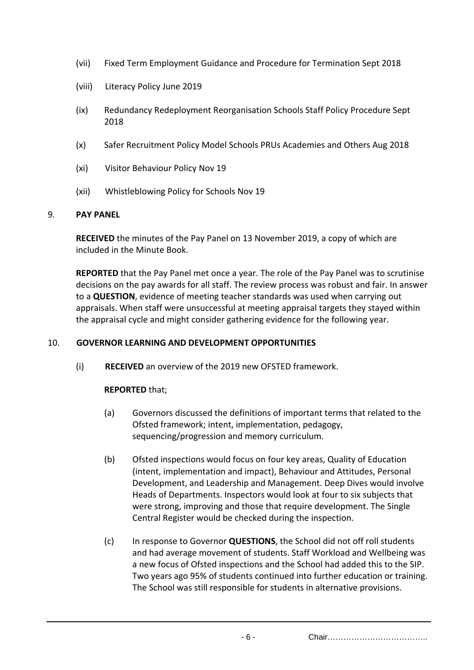- (vii) Fixed Term Employment Guidance and Procedure for Termination Sept 2018
- (viii) Literacy Policy June 2019
- (ix) Redundancy Redeployment Reorganisation Schools Staff Policy Procedure Sept 2018
- (x) Safer Recruitment Policy Model Schools PRUs Academies and Others Aug 2018
- (xi) Visitor Behaviour Policy Nov 19
- (xii) Whistleblowing Policy for Schools Nov 19

### 9. **PAY PANEL**

**RECEIVED** the minutes of the Pay Panel on 13 November 2019, a copy of which are included in the Minute Book.

**REPORTED** that the Pay Panel met once a year. The role of the Pay Panel was to scrutinise decisions on the pay awards for all staff. The review process was robust and fair. In answer to a **QUESTION**, evidence of meeting teacher standards was used when carrying out appraisals. When staff were unsuccessful at meeting appraisal targets they stayed within the appraisal cycle and might consider gathering evidence for the following year.

### 10. **GOVERNOR LEARNING AND DEVELOPMENT OPPORTUNITIES**

(i) **RECEIVED** an overview of the 2019 new OFSTED framework.

### **REPORTED** that;

- (a) Governors discussed the definitions of important terms that related to the Ofsted framework; intent, implementation, pedagogy, sequencing/progression and memory curriculum.
- (b) Ofsted inspections would focus on four key areas, Quality of Education (intent, implementation and impact), Behaviour and Attitudes, Personal Development, and Leadership and Management. Deep Dives would involve Heads of Departments. Inspectors would look at four to six subjects that were strong, improving and those that require development. The Single Central Register would be checked during the inspection.
- (c) In response to Governor **QUESTIONS**, the School did not off roll students and had average movement of students. Staff Workload and Wellbeing was a new focus of Ofsted inspections and the School had added this to the SIP. Two years ago 95% of students continued into further education or training. The School was still responsible for students in alternative provisions.

- 6 - Chair………………………………..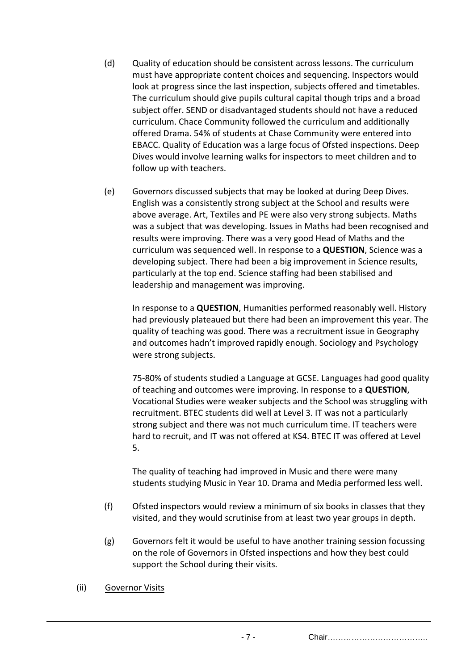- (d) Quality of education should be consistent across lessons. The curriculum must have appropriate content choices and sequencing. Inspectors would look at progress since the last inspection, subjects offered and timetables. The curriculum should give pupils cultural capital though trips and a broad subject offer. SEND or disadvantaged students should not have a reduced curriculum. Chace Community followed the curriculum and additionally offered Drama. 54% of students at Chase Community were entered into EBACC. Quality of Education was a large focus of Ofsted inspections. Deep Dives would involve learning walks for inspectors to meet children and to follow up with teachers.
- (e) Governors discussed subjects that may be looked at during Deep Dives. English was a consistently strong subject at the School and results were above average. Art, Textiles and PE were also very strong subjects. Maths was a subject that was developing. Issues in Maths had been recognised and results were improving. There was a very good Head of Maths and the curriculum was sequenced well. In response to a **QUESTION**, Science was a developing subject. There had been a big improvement in Science results, particularly at the top end. Science staffing had been stabilised and leadership and management was improving.

In response to a **QUESTION**, Humanities performed reasonably well. History had previously plateaued but there had been an improvement this year. The quality of teaching was good. There was a recruitment issue in Geography and outcomes hadn't improved rapidly enough. Sociology and Psychology were strong subjects.

75-80% of students studied a Language at GCSE. Languages had good quality of teaching and outcomes were improving. In response to a **QUESTION**, Vocational Studies were weaker subjects and the School was struggling with recruitment. BTEC students did well at Level 3. IT was not a particularly strong subject and there was not much curriculum time. IT teachers were hard to recruit, and IT was not offered at KS4. BTEC IT was offered at Level 5.

The quality of teaching had improved in Music and there were many students studying Music in Year 10. Drama and Media performed less well.

- (f) Ofsted inspectors would review a minimum of six books in classes that they visited, and they would scrutinise from at least two year groups in depth.
- (g) Governors felt it would be useful to have another training session focussing on the role of Governors in Ofsted inspections and how they best could support the School during their visits.
- (ii) Governor Visits